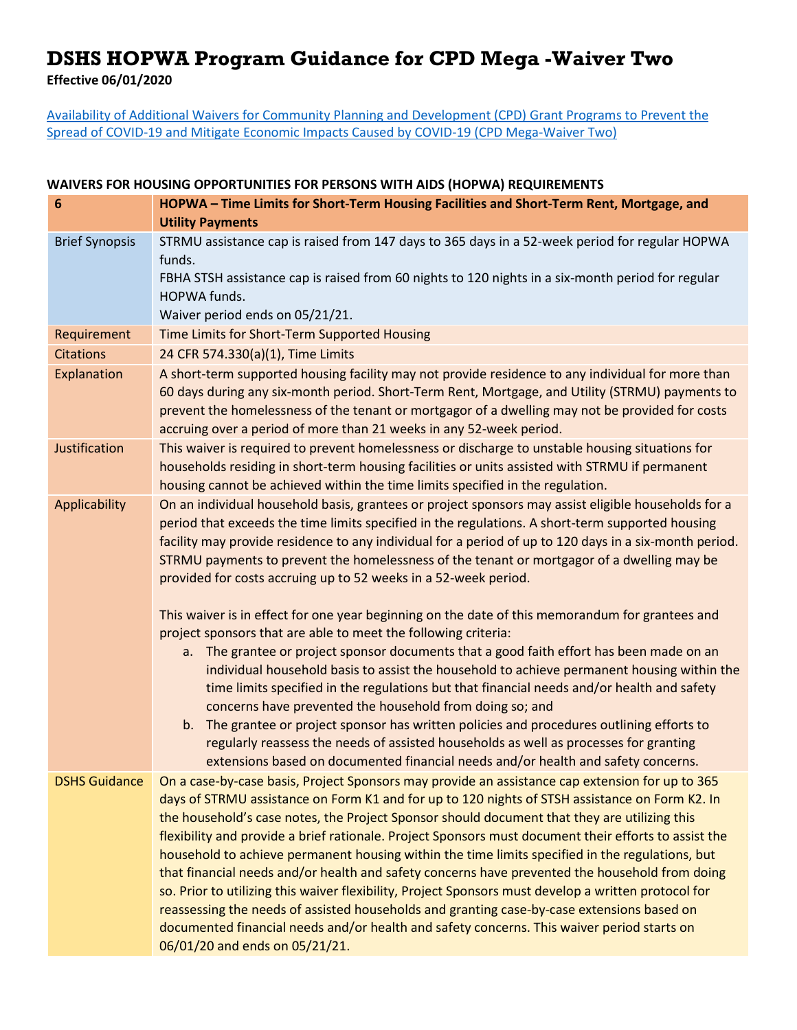## **DSHS HOPWA Program Guidance for CPD Mega -Waiver Two**

**Effective 06/01/2020**

[Availability of Additional Waivers for Community Planning and](https://www.hud.gov/sites/dfiles/CPD/documents/Additional_Waivers_for_CPD_Grant_Programs_to_Prevent_COVID-19_Spread_and_Mitigate_COVID-19_Economic_Impacts.pdf) Development (CPD) Grant Programs to Prevent the Spread of [COVID-19 and Mitigate Economic Impacts](https://www.hud.gov/sites/dfiles/CPD/documents/Additional_Waivers_for_CPD_Grant_Programs_to_Prevent_COVID-19_Spread_and_Mitigate_COVID-19_Economic_Impacts.pdf) Caused by COVID-19 (CPD Mega-Waiver Two)

## **WAIVERS FOR HOUSING OPPORTUNITIES FOR PERSONS WITH AIDS (HOPWA) REQUIREMENTS**

| $6\phantom{1}6$       | HOPWA - Time Limits for Short-Term Housing Facilities and Short-Term Rent, Mortgage, and<br><b>Utility Payments</b>                                                                                                                                                                                                                                                                                                                                                                                                                                                                                                                                                                                                                                                                                                                                                                                                                                                  |
|-----------------------|----------------------------------------------------------------------------------------------------------------------------------------------------------------------------------------------------------------------------------------------------------------------------------------------------------------------------------------------------------------------------------------------------------------------------------------------------------------------------------------------------------------------------------------------------------------------------------------------------------------------------------------------------------------------------------------------------------------------------------------------------------------------------------------------------------------------------------------------------------------------------------------------------------------------------------------------------------------------|
| <b>Brief Synopsis</b> | STRMU assistance cap is raised from 147 days to 365 days in a 52-week period for regular HOPWA<br>funds.<br>FBHA STSH assistance cap is raised from 60 nights to 120 nights in a six-month period for regular<br>HOPWA funds.<br>Waiver period ends on 05/21/21.                                                                                                                                                                                                                                                                                                                                                                                                                                                                                                                                                                                                                                                                                                     |
| Requirement           | Time Limits for Short-Term Supported Housing                                                                                                                                                                                                                                                                                                                                                                                                                                                                                                                                                                                                                                                                                                                                                                                                                                                                                                                         |
| <b>Citations</b>      | 24 CFR 574.330(a)(1), Time Limits                                                                                                                                                                                                                                                                                                                                                                                                                                                                                                                                                                                                                                                                                                                                                                                                                                                                                                                                    |
| Explanation           | A short-term supported housing facility may not provide residence to any individual for more than<br>60 days during any six-month period. Short-Term Rent, Mortgage, and Utility (STRMU) payments to<br>prevent the homelessness of the tenant or mortgagor of a dwelling may not be provided for costs<br>accruing over a period of more than 21 weeks in any 52-week period.                                                                                                                                                                                                                                                                                                                                                                                                                                                                                                                                                                                       |
| Justification         | This waiver is required to prevent homelessness or discharge to unstable housing situations for<br>households residing in short-term housing facilities or units assisted with STRMU if permanent<br>housing cannot be achieved within the time limits specified in the regulation.                                                                                                                                                                                                                                                                                                                                                                                                                                                                                                                                                                                                                                                                                  |
| Applicability         | On an individual household basis, grantees or project sponsors may assist eligible households for a<br>period that exceeds the time limits specified in the regulations. A short-term supported housing<br>facility may provide residence to any individual for a period of up to 120 days in a six-month period.<br>STRMU payments to prevent the homelessness of the tenant or mortgagor of a dwelling may be<br>provided for costs accruing up to 52 weeks in a 52-week period.<br>This waiver is in effect for one year beginning on the date of this memorandum for grantees and<br>project sponsors that are able to meet the following criteria:<br>a. The grantee or project sponsor documents that a good faith effort has been made on an                                                                                                                                                                                                                  |
|                       | individual household basis to assist the household to achieve permanent housing within the<br>time limits specified in the regulations but that financial needs and/or health and safety<br>concerns have prevented the household from doing so; and<br>b. The grantee or project sponsor has written policies and procedures outlining efforts to<br>regularly reassess the needs of assisted households as well as processes for granting<br>extensions based on documented financial needs and/or health and safety concerns.                                                                                                                                                                                                                                                                                                                                                                                                                                     |
|                       | DSHS Guidance  On a case-by-case basis, Project Sponsors may provide an assistance cap extension for up to 365<br>days of STRMU assistance on Form K1 and for up to 120 nights of STSH assistance on Form K2. In<br>the household's case notes, the Project Sponsor should document that they are utilizing this<br>flexibility and provide a brief rationale. Project Sponsors must document their efforts to assist the<br>household to achieve permanent housing within the time limits specified in the regulations, but<br>that financial needs and/or health and safety concerns have prevented the household from doing<br>so. Prior to utilizing this waiver flexibility, Project Sponsors must develop a written protocol for<br>reassessing the needs of assisted households and granting case-by-case extensions based on<br>documented financial needs and/or health and safety concerns. This waiver period starts on<br>06/01/20 and ends on 05/21/21. |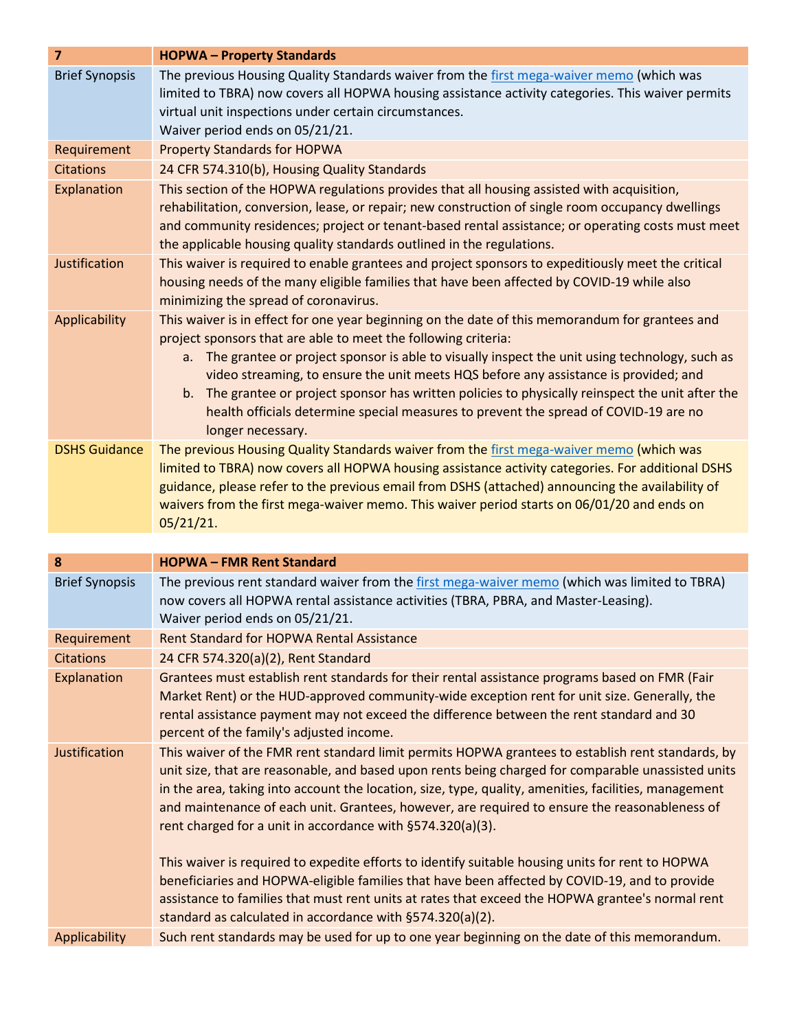| $\overline{7}$        | <b>HOPWA-Property Standards</b>                                                                                                                                                                                                                                                                                                                                                                                                                                                                                                                                                       |
|-----------------------|---------------------------------------------------------------------------------------------------------------------------------------------------------------------------------------------------------------------------------------------------------------------------------------------------------------------------------------------------------------------------------------------------------------------------------------------------------------------------------------------------------------------------------------------------------------------------------------|
| <b>Brief Synopsis</b> | The previous Housing Quality Standards waiver from the first mega-waiver memo (which was<br>limited to TBRA) now covers all HOPWA housing assistance activity categories. This waiver permits<br>virtual unit inspections under certain circumstances.<br>Waiver period ends on 05/21/21.                                                                                                                                                                                                                                                                                             |
| Requirement           | <b>Property Standards for HOPWA</b>                                                                                                                                                                                                                                                                                                                                                                                                                                                                                                                                                   |
| <b>Citations</b>      | 24 CFR 574.310(b), Housing Quality Standards                                                                                                                                                                                                                                                                                                                                                                                                                                                                                                                                          |
| Explanation           | This section of the HOPWA regulations provides that all housing assisted with acquisition,<br>rehabilitation, conversion, lease, or repair; new construction of single room occupancy dwellings<br>and community residences; project or tenant-based rental assistance; or operating costs must meet<br>the applicable housing quality standards outlined in the regulations.                                                                                                                                                                                                         |
| Justification         | This waiver is required to enable grantees and project sponsors to expeditiously meet the critical<br>housing needs of the many eligible families that have been affected by COVID-19 while also<br>minimizing the spread of coronavirus.                                                                                                                                                                                                                                                                                                                                             |
| Applicability         | This waiver is in effect for one year beginning on the date of this memorandum for grantees and<br>project sponsors that are able to meet the following criteria:<br>The grantee or project sponsor is able to visually inspect the unit using technology, such as<br>a.<br>video streaming, to ensure the unit meets HQS before any assistance is provided; and<br>The grantee or project sponsor has written policies to physically reinspect the unit after the<br>b.<br>health officials determine special measures to prevent the spread of COVID-19 are no<br>longer necessary. |
| <b>DSHS Guidance</b>  | The previous Housing Quality Standards waiver from the first mega-waiver memo (which was<br>limited to TBRA) now covers all HOPWA housing assistance activity categories. For additional DSHS<br>guidance, please refer to the previous email from DSHS (attached) announcing the availability of<br>waivers from the first mega-waiver memo. This waiver period starts on 06/01/20 and ends on<br>05/21/21.                                                                                                                                                                          |

| 8                     | <b>HOPWA-FMR Rent Standard</b>                                                                                                                                                                                                                                                                                                                                                                                                                                                  |
|-----------------------|---------------------------------------------------------------------------------------------------------------------------------------------------------------------------------------------------------------------------------------------------------------------------------------------------------------------------------------------------------------------------------------------------------------------------------------------------------------------------------|
| <b>Brief Synopsis</b> | The previous rent standard waiver from the first mega-waiver memo (which was limited to TBRA)<br>now covers all HOPWA rental assistance activities (TBRA, PBRA, and Master-Leasing).<br>Waiver period ends on 05/21/21.                                                                                                                                                                                                                                                         |
| Requirement           | <b>Rent Standard for HOPWA Rental Assistance</b>                                                                                                                                                                                                                                                                                                                                                                                                                                |
| <b>Citations</b>      | 24 CFR 574.320(a)(2), Rent Standard                                                                                                                                                                                                                                                                                                                                                                                                                                             |
| Explanation           | Grantees must establish rent standards for their rental assistance programs based on FMR (Fair<br>Market Rent) or the HUD-approved community-wide exception rent for unit size. Generally, the<br>rental assistance payment may not exceed the difference between the rent standard and 30<br>percent of the family's adjusted income.                                                                                                                                          |
| Justification         | This waiver of the FMR rent standard limit permits HOPWA grantees to establish rent standards, by<br>unit size, that are reasonable, and based upon rents being charged for comparable unassisted units<br>in the area, taking into account the location, size, type, quality, amenities, facilities, management<br>and maintenance of each unit. Grantees, however, are required to ensure the reasonableness of<br>rent charged for a unit in accordance with §574.320(a)(3). |
|                       | This waiver is required to expedite efforts to identify suitable housing units for rent to HOPWA<br>beneficiaries and HOPWA-eligible families that have been affected by COVID-19, and to provide<br>assistance to families that must rent units at rates that exceed the HOPWA grantee's normal rent<br>standard as calculated in accordance with §574.320(a)(2).                                                                                                              |
| Applicability         | Such rent standards may be used for up to one year beginning on the date of this memorandum.                                                                                                                                                                                                                                                                                                                                                                                    |